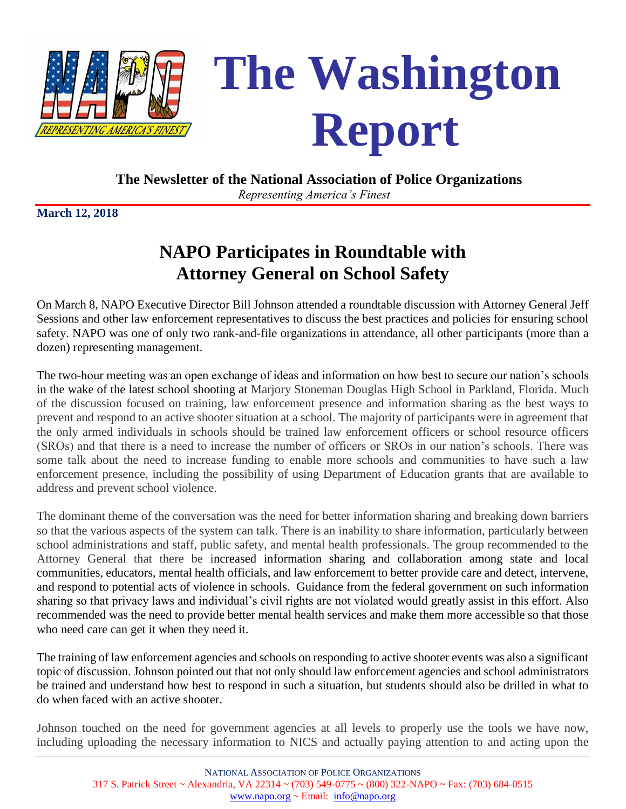



#### **The Newsletter of the National Association of Police Organizations**

*Representing America's Finest*

**March 12, 2018**

# **NAPO Participates in Roundtable with Attorney General on School Safety**

On March 8, NAPO Executive Director Bill Johnson attended a roundtable discussion with Attorney General Jeff Sessions and other law enforcement representatives to discuss the best practices and policies for ensuring school safety. NAPO was one of only two rank-and-file organizations in attendance, all other participants (more than a dozen) representing management.

The two-hour meeting was an open exchange of ideas and information on how best to secure our nation's schools in the wake of the latest school shooting at Marjory Stoneman Douglas High School in Parkland, Florida. Much of the discussion focused on training, law enforcement presence and information sharing as the best ways to prevent and respond to an active shooter situation at a school. The majority of participants were in agreement that the only armed individuals in schools should be trained law enforcement officers or school resource officers (SROs) and that there is a need to increase the number of officers or SROs in our nation's schools. There was some talk about the need to increase funding to enable more schools and communities to have such a law enforcement presence, including the possibility of using Department of Education grants that are available to address and prevent school violence.

The dominant theme of the conversation was the need for better information sharing and breaking down barriers so that the various aspects of the system can talk. There is an inability to share information, particularly between school administrations and staff, public safety, and mental health professionals. The group recommended to the Attorney General that there be increased information sharing and collaboration among state and local communities, educators, mental health officials, and law enforcement to better provide care and detect, intervene, and respond to potential acts of violence in schools. Guidance from the federal government on such information sharing so that privacy laws and individual's civil rights are not violated would greatly assist in this effort. Also recommended was the need to provide better mental health services and make them more accessible so that those who need care can get it when they need it.

The training of law enforcement agencies and schools on responding to active shooter events was also a significant topic of discussion. Johnson pointed out that not only should law enforcement agencies and school administrators be trained and understand how best to respond in such a situation, but students should also be drilled in what to do when faced with an active shooter.

Johnson touched on the need for government agencies at all levels to properly use the tools we have now, including uploading the necessary information to NICS and actually paying attention to and acting upon the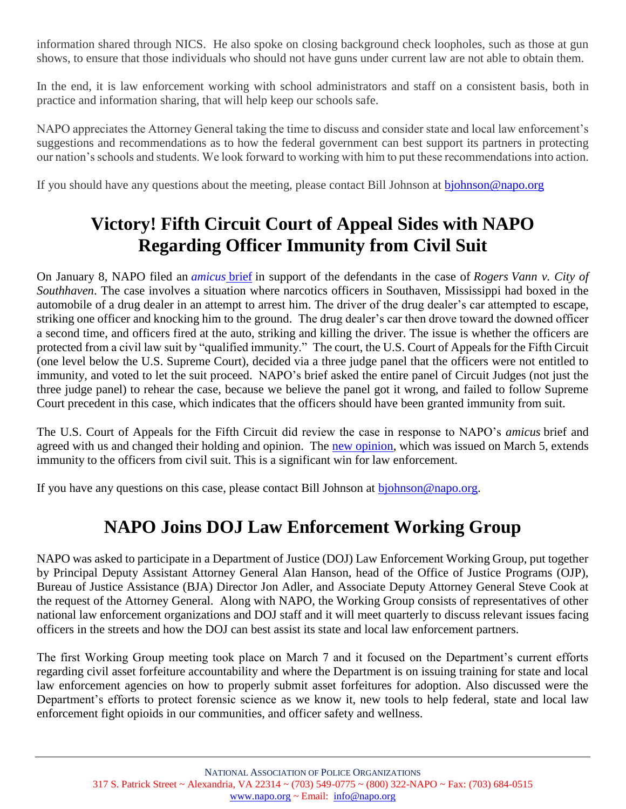information shared through NICS. He also spoke on closing background check loopholes, such as those at gun shows, to ensure that those individuals who should not have guns under current law are not able to obtain them.

In the end, it is law enforcement working with school administrators and staff on a consistent basis, both in practice and information sharing, that will help keep our schools safe.

NAPO appreciates the Attorney General taking the time to discuss and consider state and local law enforcement's suggestions and recommendations as to how the federal government can best support its partners in protecting our nation's schools and students. We look forward to working with him to put these recommendations into action.

If you should have any questions about the meeting, please contact Bill Johnson at [bjohnson@napo.org](mailto:bjohnson@napo.org)

# **Victory! Fifth Circuit Court of Appeal Sides with NAPO Regarding Officer Immunity from Civil Suit**

On January 8, NAPO filed an *[amicus](http://www.napo.org/index.php/download_file/view/2804/766/)* brief in support of the defendants in the case of *Rogers Vann v. City of Southhaven*. The case involves a situation where narcotics officers in Southaven, Mississippi had boxed in the automobile of a drug dealer in an attempt to arrest him. The driver of the drug dealer's car attempted to escape, striking one officer and knocking him to the ground. The drug dealer's car then drove toward the downed officer a second time, and officers fired at the auto, striking and killing the driver. The issue is whether the officers are protected from a civil law suit by "qualified immunity." The court, the U.S. Court of Appeals for the Fifth Circuit (one level below the U.S. Supreme Court), decided via a three judge panel that the officers were not entitled to immunity, and voted to let the suit proceed. NAPO's brief asked the entire panel of Circuit Judges (not just the three judge panel) to rehear the case, because we believe the panel got it wrong, and failed to follow Supreme Court precedent in this case, which indicates that the officers should have been granted immunity from suit.

The U.S. Court of Appeals for the Fifth Circuit did review the case in response to NAPO's *amicus* brief and agreed with us and changed their holding and opinion. The [new opinion,](file:///C:/Users/BJohnson/AppData/Local/Microsoft/Windows/INetCache/Content.Outlook/7R7R0OWQ/Vann%20v%20Southaven%20MS%20revised%20opinion%205USCA.pdf) which was issued on March 5, extends immunity to the officers from civil suit. This is a significant win for law enforcement.

If you have any questions on this case, please contact Bill Johnson at [bjohnson@napo.org.](mailto:bjohnson@napo.org)

## **NAPO Joins DOJ Law Enforcement Working Group**

NAPO was asked to participate in a Department of Justice (DOJ) Law Enforcement Working Group, put together by Principal Deputy Assistant Attorney General Alan Hanson, head of the Office of Justice Programs (OJP), Bureau of Justice Assistance (BJA) Director Jon Adler, and Associate Deputy Attorney General Steve Cook at the request of the Attorney General. Along with NAPO, the Working Group consists of representatives of other national law enforcement organizations and DOJ staff and it will meet quarterly to discuss relevant issues facing officers in the streets and how the DOJ can best assist its state and local law enforcement partners.

The first Working Group meeting took place on March 7 and it focused on the Department's current efforts regarding civil asset forfeiture accountability and where the Department is on issuing training for state and local law enforcement agencies on how to properly submit asset forfeitures for adoption. Also discussed were the Department's efforts to protect forensic science as we know it, new tools to help federal, state and local law enforcement fight opioids in our communities, and officer safety and wellness.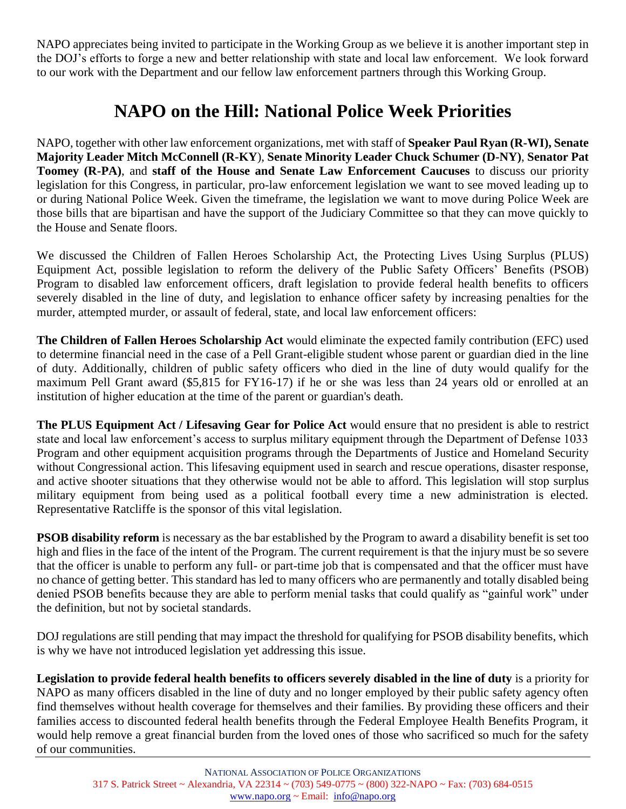NAPO appreciates being invited to participate in the Working Group as we believe it is another important step in the DOJ's efforts to forge a new and better relationship with state and local law enforcement. We look forward to our work with the Department and our fellow law enforcement partners through this Working Group.

## **NAPO on the Hill: National Police Week Priorities**

NAPO, together with other law enforcement organizations, met with staff of **Speaker Paul Ryan (R-WI), Senate Majority Leader Mitch McConnell (R-KY**), **Senate Minority Leader Chuck Schumer (D-NY)**, **Senator Pat Toomey (R-PA)**, and **staff of the House and Senate Law Enforcement Caucuses** to discuss our priority legislation for this Congress, in particular, pro-law enforcement legislation we want to see moved leading up to or during National Police Week. Given the timeframe, the legislation we want to move during Police Week are those bills that are bipartisan and have the support of the Judiciary Committee so that they can move quickly to the House and Senate floors.

We discussed the Children of Fallen Heroes Scholarship Act, the Protecting Lives Using Surplus (PLUS) Equipment Act, possible legislation to reform the delivery of the Public Safety Officers' Benefits (PSOB) Program to disabled law enforcement officers, draft legislation to provide federal health benefits to officers severely disabled in the line of duty, and legislation to enhance officer safety by increasing penalties for the murder, attempted murder, or assault of federal, state, and local law enforcement officers:

**The Children of Fallen Heroes Scholarship Act** would eliminate the expected family contribution (EFC) used to determine financial need in the case of a Pell Grant-eligible student whose parent or guardian died in the line of duty. Additionally, children of public safety officers who died in the line of duty would qualify for the maximum Pell Grant award (\$5,815 for FY16-17) if he or she was less than 24 years old or enrolled at an institution of higher education at the time of the parent or guardian's death.

**The PLUS Equipment Act / Lifesaving Gear for Police Act** would ensure that no president is able to restrict state and local law enforcement's access to surplus military equipment through the Department of Defense 1033 Program and other equipment acquisition programs through the Departments of Justice and Homeland Security without Congressional action. This lifesaving equipment used in search and rescue operations, disaster response, and active shooter situations that they otherwise would not be able to afford. This legislation will stop surplus military equipment from being used as a political football every time a new administration is elected. Representative Ratcliffe is the sponsor of this vital legislation.

**PSOB disability reform** is necessary as the bar established by the Program to award a disability benefit is set too high and flies in the face of the intent of the Program. The current requirement is that the injury must be so severe that the officer is unable to perform any full- or part-time job that is compensated and that the officer must have no chance of getting better. This standard has led to many officers who are permanently and totally disabled being denied PSOB benefits because they are able to perform menial tasks that could qualify as "gainful work" under the definition, but not by societal standards.

DOJ regulations are still pending that may impact the threshold for qualifying for PSOB disability benefits, which is why we have not introduced legislation yet addressing this issue.

**Legislation to provide federal health benefits to officers severely disabled in the line of duty** is a priority for NAPO as many officers disabled in the line of duty and no longer employed by their public safety agency often find themselves without health coverage for themselves and their families. By providing these officers and their families access to discounted federal health benefits through the Federal Employee Health Benefits Program, it would help remove a great financial burden from the loved ones of those who sacrificed so much for the safety of our communities.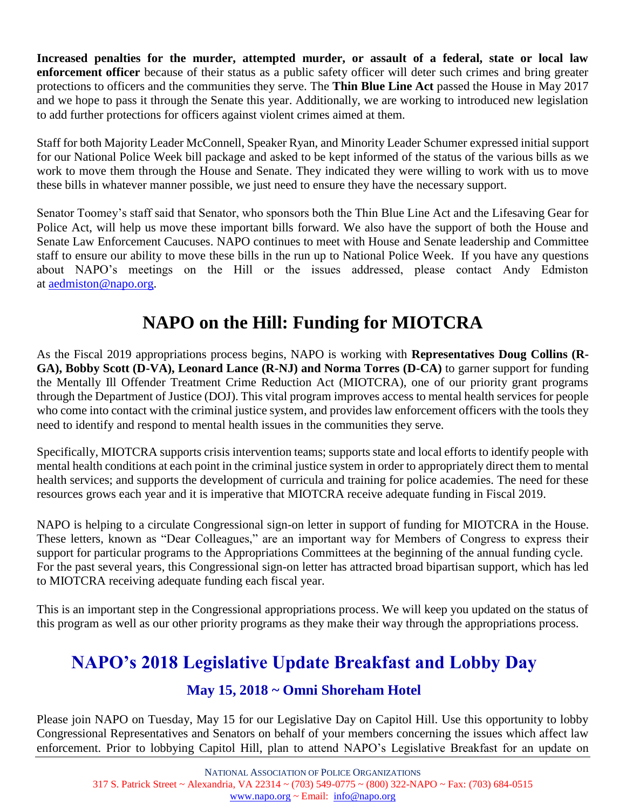**Increased penalties for the murder, attempted murder, or assault of a federal, state or local law enforcement officer** because of their status as a public safety officer will deter such crimes and bring greater protections to officers and the communities they serve. The **Thin Blue Line Act** passed the House in May 2017 and we hope to pass it through the Senate this year. Additionally, we are working to introduced new legislation to add further protections for officers against violent crimes aimed at them.

Staff for both Majority Leader McConnell, Speaker Ryan, and Minority Leader Schumer expressed initial support for our National Police Week bill package and asked to be kept informed of the status of the various bills as we work to move them through the House and Senate. They indicated they were willing to work with us to move these bills in whatever manner possible, we just need to ensure they have the necessary support.

Senator Toomey's staff said that Senator, who sponsors both the Thin Blue Line Act and the Lifesaving Gear for Police Act, will help us move these important bills forward. We also have the support of both the House and Senate Law Enforcement Caucuses. NAPO continues to meet with House and Senate leadership and Committee staff to ensure our ability to move these bills in the run up to National Police Week. If you have any questions about NAPO's meetings on the Hill or the issues addressed, please contact Andy Edmiston at [aedmiston@napo.org.](mailto:aedmiston@napo.org)

## **NAPO on the Hill: Funding for MIOTCRA**

As the Fiscal 2019 appropriations process begins, NAPO is working with **Representatives Doug Collins (R-GA), Bobby Scott (D-VA), Leonard Lance (R-NJ) and Norma Torres (D-CA)** to garner support for funding the Mentally Ill Offender Treatment Crime Reduction Act (MIOTCRA), one of our priority grant programs through the Department of Justice (DOJ). This vital program improves access to mental health services for people who come into contact with the criminal justice system, and provides law enforcement officers with the tools they need to identify and respond to mental health issues in the communities they serve.

Specifically, MIOTCRA supports crisis intervention teams; supports state and local efforts to identify people with mental health conditions at each point in the criminal justice system in order to appropriately direct them to mental health services; and supports the development of curricula and training for police academies. The need for these resources grows each year and it is imperative that MIOTCRA receive adequate funding in Fiscal 2019.

NAPO is helping to a circulate Congressional sign-on letter in support of funding for MIOTCRA in the House. These letters, known as "Dear Colleagues," are an important way for Members of Congress to express their support for particular programs to the Appropriations Committees at the beginning of the annual funding cycle. For the past several years, this Congressional sign-on letter has attracted broad bipartisan support, which has led to MIOTCRA receiving adequate funding each fiscal year.

This is an important step in the Congressional appropriations process. We will keep you updated on the status of this program as well as our other priority programs as they make their way through the appropriations process.

## **NAPO's 2018 Legislative Update Breakfast and Lobby Day**

#### **May 15, 2018 ~ Omni Shoreham Hotel**

Please join NAPO on Tuesday, May 15 for our Legislative Day on Capitol Hill. Use this opportunity to lobby Congressional Representatives and Senators on behalf of your members concerning the issues which affect law enforcement. Prior to lobbying Capitol Hill, plan to attend NAPO's Legislative Breakfast for an update on